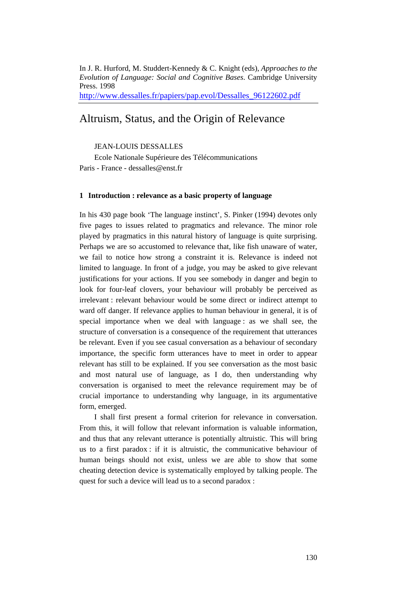In J. R. Hurford, M. Studdert-Kennedy & C. Knight (eds), *Approaches to the Evolution of Language: Social and Cognitive Bases*. Cambridge University Press. 1998

http://www.dessalles.fr/papiers/pap.evol/Dessalles\_96122602.pdf

# Altruism, Status, and the Origin of Relevance

JEAN-LOUIS DESSALLES

Ecole Nationale Supérieure des Télécommunications Paris - France - dessalles@enst.fr

#### **1 Introduction : relevance as a basic property of language**

In his 430 page book 'The language instinct', S. Pinker (1994) devotes only five pages to issues related to pragmatics and relevance. The minor role played by pragmatics in this natural history of language is quite surprising. Perhaps we are so accustomed to relevance that, like fish unaware of water, we fail to notice how strong a constraint it is. Relevance is indeed not limited to language. In front of a judge, you may be asked to give relevant justifications for your actions. If you see somebody in danger and begin to look for four-leaf clovers, your behaviour will probably be perceived as irrelevant : relevant behaviour would be some direct or indirect attempt to ward off danger. If relevance applies to human behaviour in general, it is of special importance when we deal with language : as we shall see, the structure of conversation is a consequence of the requirement that utterances be relevant. Even if you see casual conversation as a behaviour of secondary importance, the specific form utterances have to meet in order to appear relevant has still to be explained. If you see conversation as the most basic and most natural use of language, as I do, then understanding why conversation is organised to meet the relevance requirement may be of crucial importance to understanding why language, in its argumentative form, emerged.

I shall first present a formal criterion for relevance in conversation. From this, it will follow that relevant information is valuable information, and thus that any relevant utterance is potentially altruistic. This will bring us to a first paradox : if it is altruistic, the communicative behaviour of human beings should not exist, unless we are able to show that some cheating detection device is systematically employed by talking people. The quest for such a device will lead us to a second paradox :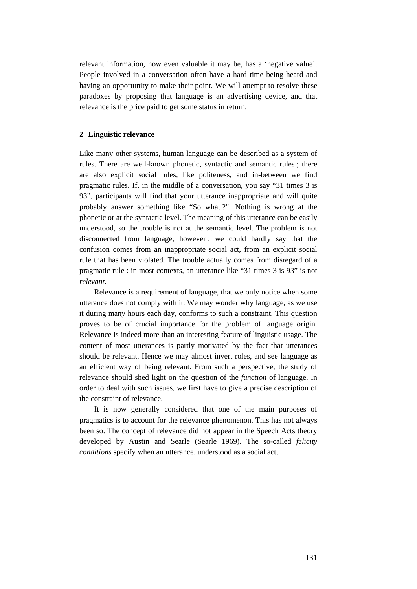relevant information, how even valuable it may be, has a 'negative value'. People involved in a conversation often have a hard time being heard and having an opportunity to make their point. We will attempt to resolve these paradoxes by proposing that language is an advertising device, and that relevance is the price paid to get some status in return.

## **2 Linguistic relevance**

Like many other systems, human language can be described as a system of rules. There are well-known phonetic, syntactic and semantic rules ; there are also explicit social rules, like politeness, and in-between we find pragmatic rules. If, in the middle of a conversation, you say "31 times 3 is 93", participants will find that your utterance inappropriate and will quite probably answer something like "So what ?". Nothing is wrong at the phonetic or at the syntactic level. The meaning of this utterance can be easily understood, so the trouble is not at the semantic level. The problem is not disconnected from language, however : we could hardly say that the confusion comes from an inappropriate social act, from an explicit social rule that has been violated. The trouble actually comes from disregard of a pragmatic rule : in most contexts, an utterance like "31 times 3 is 93" is not *relevant*.

Relevance is a requirement of language, that we only notice when some utterance does not comply with it. We may wonder why language, as we use it during many hours each day, conforms to such a constraint. This question proves to be of crucial importance for the problem of language origin. Relevance is indeed more than an interesting feature of linguistic usage. The content of most utterances is partly motivated by the fact that utterances should be relevant. Hence we may almost invert roles, and see language as an efficient way of being relevant. From such a perspective, the study of relevance should shed light on the question of the *function* of language. In order to deal with such issues, we first have to give a precise description of the constraint of relevance.

It is now generally considered that one of the main purposes of pragmatics is to account for the relevance phenomenon. This has not always been so. The concept of relevance did not appear in the Speech Acts theory developed by Austin and Searle (Searle 1969). The so-called *felicity conditions* specify when an utterance, understood as a social act,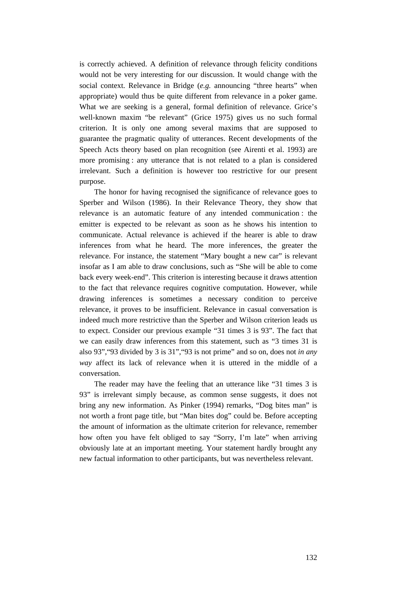is correctly achieved. A definition of relevance through felicity conditions would not be very interesting for our discussion. It would change with the social context. Relevance in Bridge (*e.g.* announcing "three hearts" when appropriate) would thus be quite different from relevance in a poker game. What we are seeking is a general, formal definition of relevance. Grice's well-known maxim "be relevant" (Grice 1975) gives us no such formal criterion. It is only one among several maxims that are supposed to guarantee the pragmatic quality of utterances. Recent developments of the Speech Acts theory based on plan recognition (see Airenti et al. 1993) are more promising : any utterance that is not related to a plan is considered irrelevant. Such a definition is however too restrictive for our present purpose.

The honor for having recognised the significance of relevance goes to Sperber and Wilson (1986). In their Relevance Theory, they show that relevance is an automatic feature of any intended communication : the emitter is expected to be relevant as soon as he shows his intention to communicate. Actual relevance is achieved if the hearer is able to draw inferences from what he heard. The more inferences, the greater the relevance. For instance, the statement "Mary bought a new car" is relevant insofar as I am able to draw conclusions, such as "She will be able to come back every week-end". This criterion is interesting because it draws attention to the fact that relevance requires cognitive computation. However, while drawing inferences is sometimes a necessary condition to perceive relevance, it proves to be insufficient. Relevance in casual conversation is indeed much more restrictive than the Sperber and Wilson criterion leads us to expect. Consider our previous example "31 times 3 is 93". The fact that we can easily draw inferences from this statement, such as "3 times 31 is also 93","93 divided by 3 is 31","93 is not prime" and so on, does not *in any way* affect its lack of relevance when it is uttered in the middle of a conversation.

The reader may have the feeling that an utterance like "31 times 3 is 93" is irrelevant simply because, as common sense suggests, it does not bring any new information. As Pinker (1994) remarks, "Dog bites man" is not worth a front page title, but "Man bites dog" could be. Before accepting the amount of information as the ultimate criterion for relevance, remember how often you have felt obliged to say "Sorry, I'm late" when arriving obviously late at an important meeting. Your statement hardly brought any new factual information to other participants, but was nevertheless relevant.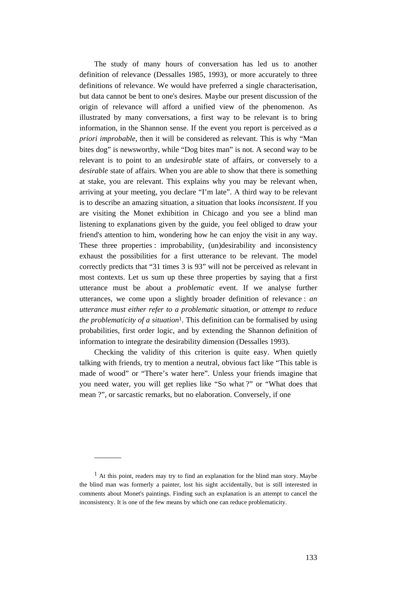The study of many hours of conversation has led us to another definition of relevance (Dessalles 1985, 1993), or more accurately to three definitions of relevance. We would have preferred a single characterisation, but data cannot be bent to one's desires. Maybe our present discussion of the origin of relevance will afford a unified view of the phenomenon. As illustrated by many conversations, a first way to be relevant is to bring information, in the Shannon sense. If the event you report is perceived as *a priori improbable*, then it will be considered as relevant. This is why "Man bites dog" is newsworthy, while "Dog bites man" is not. A second way to be relevant is to point to an *undesirable* state of affairs, or conversely to a *desirable* state of affairs. When you are able to show that there is something at stake, you are relevant. This explains why you may be relevant when, arriving at your meeting, you declare "I'm late". A third way to be relevant is to describe an amazing situation, a situation that looks *inconsistent*. If you are visiting the Monet exhibition in Chicago and you see a blind man listening to explanations given by the guide, you feel obliged to draw your friend's attention to him, wondering how he can enjoy the visit in any way. These three properties : improbability, (un)desirability and inconsistency exhaust the possibilities for a first utterance to be relevant. The model correctly predicts that "31 times 3 is 93" will not be perceived as relevant in most contexts. Let us sum up these three properties by saying that a first utterance must be about a *problematic* event. If we analyse further utterances, we come upon a slightly broader definition of relevance : *an utterance must either refer to a problematic situation, or attempt to reduce the problematicity of a situation*1. This definition can be formalised by using probabilities, first order logic, and by extending the Shannon definition of information to integrate the desirability dimension (Dessalles 1993).

Checking the validity of this criterion is quite easy. When quietly talking with friends, try to mention a neutral, obvious fact like "This table is made of wood" or "There's water here". Unless your friends imagine that you need water, you will get replies like "So what ?" or "What does that mean ?", or sarcastic remarks, but no elaboration. Conversely, if one

 $\overline{\phantom{a}}$ 

 $<sup>1</sup>$  At this point, readers may try to find an explanation for the blind man story. Maybe</sup> the blind man was formerly a painter, lost his sight accidentally, but is still interested in comments about Monet's paintings. Finding such an explanation is an attempt to cancel the inconsistency. It is one of the few means by which one can reduce problematicity.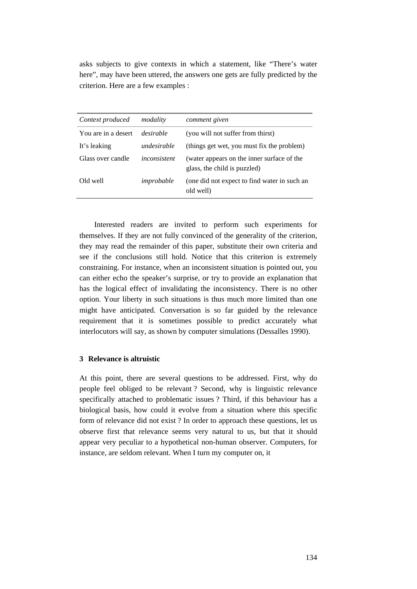asks subjects to give contexts in which a statement, like "There's water here", may have been uttered, the answers one gets are fully predicted by the criterion. Here are a few examples :

| Context produced    | modality     | comment given                                                              |
|---------------------|--------------|----------------------------------------------------------------------------|
| You are in a desert | desirable    | (you will not suffer from thirst)                                          |
| It's leaking        | undesirable  | (things get wet, you must fix the problem)                                 |
| Glass over candle   | inconsistent | (water appears on the inner surface of the<br>glass, the child is puzzled) |
| Old well            | improbable   | (one did not expect to find water in such an<br>old well)                  |

Interested readers are invited to perform such experiments for themselves. If they are not fully convinced of the generality of the criterion, they may read the remainder of this paper, substitute their own criteria and see if the conclusions still hold. Notice that this criterion is extremely constraining. For instance, when an inconsistent situation is pointed out, you can either echo the speaker's surprise, or try to provide an explanation that has the logical effect of invalidating the inconsistency. There is no other option. Your liberty in such situations is thus much more limited than one might have anticipated. Conversation is so far guided by the relevance requirement that it is sometimes possible to predict accurately what interlocutors will say, as shown by computer simulations (Dessalles 1990).

## **3 Relevance is altruistic**

At this point, there are several questions to be addressed. First, why do people feel obliged to be relevant ? Second, why is linguistic relevance specifically attached to problematic issues ? Third, if this behaviour has a biological basis, how could it evolve from a situation where this specific form of relevance did not exist ? In order to approach these questions, let us observe first that relevance seems very natural to us, but that it should appear very peculiar to a hypothetical non-human observer. Computers, for instance, are seldom relevant. When I turn my computer on, it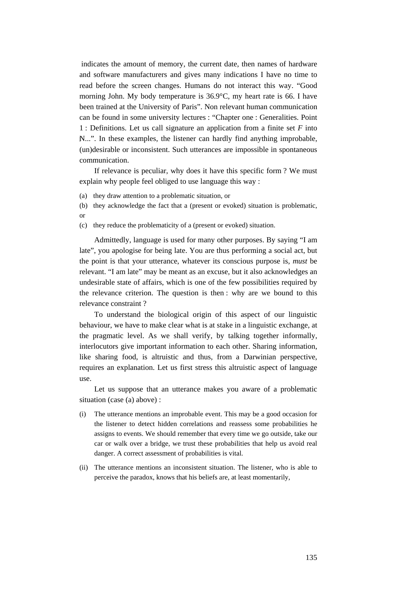indicates the amount of memory, the current date, then names of hardware and software manufacturers and gives many indications I have no time to read before the screen changes. Humans do not interact this way. "Good morning John. My body temperature is 36.9°C, my heart rate is 66. I have been trained at the University of Paris". Non relevant human communication can be found in some university lectures : "Chapter one : Generalities. Point 1 : Definitions. Let us call signature an application from a finite set *F* into N...". In these examples, the listener can hardly find anything improbable, (un)desirable or inconsistent. Such utterances are impossible in spontaneous communication.

If relevance is peculiar, why does it have this specific form ? We must explain why people feel obliged to use language this way :

(a) they draw attention to a problematic situation, or

(b) they acknowledge the fact that a (present or evoked) situation is problematic, or

(c) they reduce the problematicity of a (present or evoked) situation.

Admittedly, language is used for many other purposes. By saying "I am late", you apologise for being late. You are thus performing a social act, but the point is that your utterance, whatever its conscious purpose is, *must* be relevant. "I am late" may be meant as an excuse, but it also acknowledges an undesirable state of affairs, which is one of the few possibilities required by the relevance criterion. The question is then : why are we bound to this relevance constraint ?

To understand the biological origin of this aspect of our linguistic behaviour, we have to make clear what is at stake in a linguistic exchange, at the pragmatic level. As we shall verify, by talking together informally, interlocutors give important information to each other. Sharing information, like sharing food, is altruistic and thus, from a Darwinian perspective, requires an explanation. Let us first stress this altruistic aspect of language use.

Let us suppose that an utterance makes you aware of a problematic situation (case (a) above) :

- (i) The utterance mentions an improbable event. This may be a good occasion for the listener to detect hidden correlations and reassess some probabilities he assigns to events. We should remember that every time we go outside, take our car or walk over a bridge, we trust these probabilities that help us avoid real danger. A correct assessment of probabilities is vital.
- (ii) The utterance mentions an inconsistent situation. The listener, who is able to perceive the paradox, knows that his beliefs are, at least momentarily,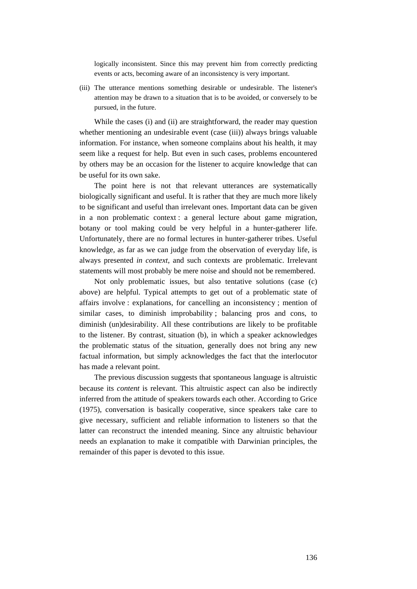logically inconsistent. Since this may prevent him from correctly predicting events or acts, becoming aware of an inconsistency is very important.

(iii) The utterance mentions something desirable or undesirable. The listener's attention may be drawn to a situation that is to be avoided, or conversely to be pursued, in the future.

While the cases (i) and (ii) are straightforward, the reader may question whether mentioning an undesirable event (case (iii)) always brings valuable information. For instance, when someone complains about his health, it may seem like a request for help. But even in such cases, problems encountered by others may be an occasion for the listener to acquire knowledge that can be useful for its own sake.

The point here is not that relevant utterances are systematically biologically significant and useful. It is rather that they are much more likely to be significant and useful than irrelevant ones. Important data can be given in a non problematic context : a general lecture about game migration, botany or tool making could be very helpful in a hunter-gatherer life. Unfortunately, there are no formal lectures in hunter-gatherer tribes. Useful knowledge, as far as we can judge from the observation of everyday life, is always presented *in context*, and such contexts are problematic. Irrelevant statements will most probably be mere noise and should not be remembered.

Not only problematic issues, but also tentative solutions (case (c) above) are helpful. Typical attempts to get out of a problematic state of affairs involve : explanations, for cancelling an inconsistency ; mention of similar cases, to diminish improbability ; balancing pros and cons, to diminish (un)desirability. All these contributions are likely to be profitable to the listener. By contrast, situation (b), in which a speaker acknowledges the problematic status of the situation, generally does not bring any new factual information, but simply acknowledges the fact that the interlocutor has made a relevant point.

The previous discussion suggests that spontaneous language is altruistic because its *content* is relevant. This altruistic aspect can also be indirectly inferred from the attitude of speakers towards each other. According to Grice (1975), conversation is basically cooperative, since speakers take care to give necessary, sufficient and reliable information to listeners so that the latter can reconstruct the intended meaning. Since any altruistic behaviour needs an explanation to make it compatible with Darwinian principles, the remainder of this paper is devoted to this issue.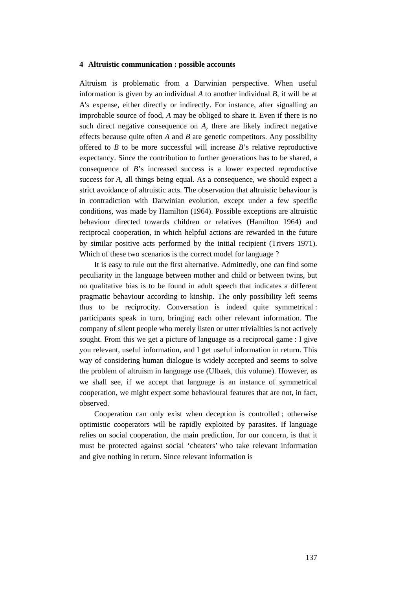## **4 Altruistic communication : possible accounts**

Altruism is problematic from a Darwinian perspective. When useful information is given by an individual *A* to another individual *B*, it will be at A's expense, either directly or indirectly. For instance, after signalling an improbable source of food, *A* may be obliged to share it. Even if there is no such direct negative consequence on *A*, there are likely indirect negative effects because quite often *A* and *B* are genetic competitors. Any possibility offered to *B* to be more successful will increase *B*'s relative reproductive expectancy. Since the contribution to further generations has to be shared, a consequence of *B*'s increased success is a lower expected reproductive success for *A*, all things being equal. As a consequence, we should expect a strict avoidance of altruistic acts. The observation that altruistic behaviour is in contradiction with Darwinian evolution, except under a few specific conditions, was made by Hamilton (1964). Possible exceptions are altruistic behaviour directed towards children or relatives (Hamilton 1964) and reciprocal cooperation, in which helpful actions are rewarded in the future by similar positive acts performed by the initial recipient (Trivers 1971). Which of these two scenarios is the correct model for language ?

It is easy to rule out the first alternative. Admittedly, one can find some peculiarity in the language between mother and child or between twins, but no qualitative bias is to be found in adult speech that indicates a different pragmatic behaviour according to kinship. The only possibility left seems thus to be reciprocity. Conversation is indeed quite symmetrical : participants speak in turn, bringing each other relevant information. The company of silent people who merely listen or utter trivialities is not actively sought. From this we get a picture of language as a reciprocal game : I give you relevant, useful information, and I get useful information in return. This way of considering human dialogue is widely accepted and seems to solve the problem of altruism in language use (Ulbaek, this volume). However, as we shall see, if we accept that language is an instance of symmetrical cooperation, we might expect some behavioural features that are not, in fact, observed.

Cooperation can only exist when deception is controlled ; otherwise optimistic cooperators will be rapidly exploited by parasites. If language relies on social cooperation, the main prediction, for our concern, is that it must be protected against social 'cheaters' who take relevant information and give nothing in return. Since relevant information is

137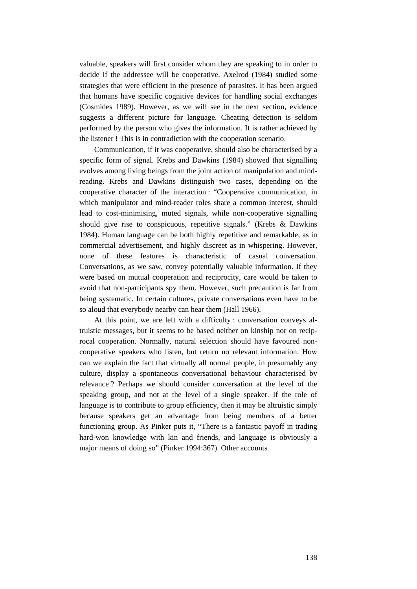valuable, speakers will first consider whom they are speaking to in order to decide if the addressee will be cooperative. Axelrod (1984) studied some strategies that were efficient in the presence of parasites. It has been argued that humans have specific cognitive devices for handling social exchanges (Cosmides 1989). However, as we will see in the next section, evidence suggests a different picture for language. Cheating detection is seldom performed by the person who gives the information. It is rather achieved by the listener ! This is in contradiction with the cooperation scenario.

Communication, if it was cooperative, should also be characterised by a specific form of signal. Krebs and Dawkins (1984) showed that signalling evolves among living beings from the joint action of manipulation and mindreading. Krebs and Dawkins distinguish two cases, depending on the cooperative character of the interaction : "Cooperative communication, in which manipulator and mind-reader roles share a common interest, should lead to cost-minimising, muted signals, while non-cooperative signalling should give rise to conspicuous, repetitive signals." (Krebs & Dawkins 1984). Human language can be both highly repetitive and remarkable, as in commercial advertisement, and highly discreet as in whispering. However, none of these features is characteristic of casual conversation. Conversations, as we saw, convey potentially valuable information. If they were based on mutual cooperation and reciprocity, care would be taken to avoid that non-participants spy them. However, such precaution is far from being systematic. In certain cultures, private conversations even have to be so aloud that everybody nearby can hear them (Hall 1966).

At this point, we are left with a difficulty : conversation conveys altruistic messages, but it seems to be based neither on kinship nor on reciprocal cooperation. Normally, natural selection should have favoured noncooperative speakers who listen, but return no relevant information. How can we explain the fact that virtually all normal people, in presumably any culture, display a spontaneous conversational behaviour characterised by relevance ? Perhaps we should consider conversation at the level of the speaking group, and not at the level of a single speaker. If the role of language is to contribute to group efficiency, then it may be altruistic simply because speakers get an advantage from being members of a better functioning group. As Pinker puts it, "There is a fantastic payoff in trading hard-won knowledge with kin and friends, and language is obviously a major means of doing so" (Pinker 1994:367). Other accounts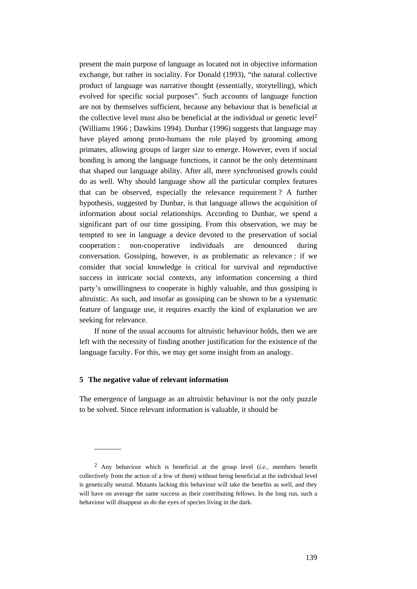present the main purpose of language as located not in objective information exchange, but rather in sociality. For Donald (1993), "the natural collective product of language was narrative thought (essentially, storytelling), which evolved for specific social purposes". Such accounts of language function are not by themselves sufficient, because any behaviour that is beneficial at the collective level must also be beneficial at the individual or genetic level2 (Williams 1966 ; Dawkins 1994). Dunbar (1996) suggests that language may have played among proto-humans the role played by grooming among primates, allowing groups of larger size to emerge. However, even if social bonding is among the language functions, it cannot be the only determinant that shaped our language ability. After all, mere synchronised growls could do as well. Why should language show all the particular complex features that can be observed, especially the relevance requirement ? A further hypothesis, suggested by Dunbar, is that language allows the acquisition of information about social relationships. According to Dunbar, we spend a significant part of our time gossiping. From this observation, we may be tempted to see in language a device devoted to the preservation of social cooperation : non-cooperative individuals are denounced during conversation. Gossiping, however, is as problematic as relevance : if we consider that social knowledge is critical for survival and reproductive success in intricate social contexts, any information concerning a third party's unwillingness to cooperate is highly valuable, and thus gossiping is altruistic. As such, and insofar as gossiping can be shown to be a systematic feature of language use, it requires exactly the kind of explanation we are seeking for relevance.

If none of the usual accounts for altruistic behaviour holds, then we are left with the necessity of finding another justification for the existence of the language faculty. For this, we may get some insight from an analogy.

# **5 The negative value of relevant information**

 $\overline{\phantom{a}}$ 

The emergence of language as an altruistic behaviour is not the only puzzle to be solved. Since relevant information is valuable, it should be

<sup>2</sup> Any behaviour which is beneficial at the group level (*i.e.,* members benefit collectively from the action of a few of them) without being beneficial at the individual level is genetically neutral. Mutants lacking this behaviour will take the benefits as well, and they will have on average the same success as their contributing fellows. In the long run, such a behaviour will disappear as do the eyes of species living in the dark.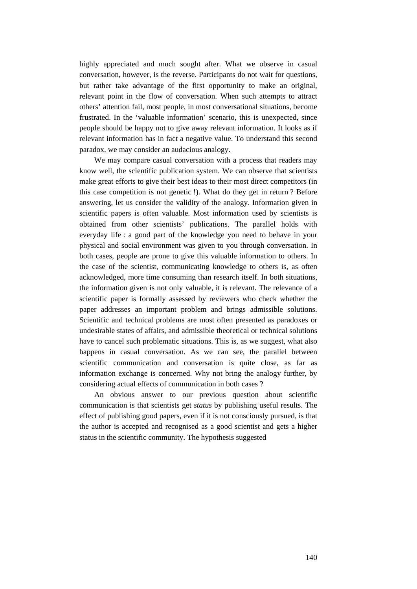highly appreciated and much sought after. What we observe in casual conversation, however, is the reverse. Participants do not wait for questions, but rather take advantage of the first opportunity to make an original, relevant point in the flow of conversation. When such attempts to attract others' attention fail, most people, in most conversational situations, become frustrated. In the 'valuable information' scenario, this is unexpected, since people should be happy not to give away relevant information. It looks as if relevant information has in fact a negative value. To understand this second paradox, we may consider an audacious analogy.

We may compare casual conversation with a process that readers may know well, the scientific publication system. We can observe that scientists make great efforts to give their best ideas to their most direct competitors (in this case competition is not genetic !). What do they get in return ? Before answering, let us consider the validity of the analogy. Information given in scientific papers is often valuable. Most information used by scientists is obtained from other scientists' publications. The parallel holds with everyday life : a good part of the knowledge you need to behave in your physical and social environment was given to you through conversation. In both cases, people are prone to give this valuable information to others. In the case of the scientist, communicating knowledge to others is, as often acknowledged, more time consuming than research itself. In both situations, the information given is not only valuable, it is relevant. The relevance of a scientific paper is formally assessed by reviewers who check whether the paper addresses an important problem and brings admissible solutions. Scientific and technical problems are most often presented as paradoxes or undesirable states of affairs, and admissible theoretical or technical solutions have to cancel such problematic situations. This is, as we suggest, what also happens in casual conversation. As we can see, the parallel between scientific communication and conversation is quite close, as far as information exchange is concerned. Why not bring the analogy further, by considering actual effects of communication in both cases ?

An obvious answer to our previous question about scientific communication is that scientists get *status* by publishing useful results. The effect of publishing good papers, even if it is not consciously pursued, is that the author is accepted and recognised as a good scientist and gets a higher status in the scientific community. The hypothesis suggested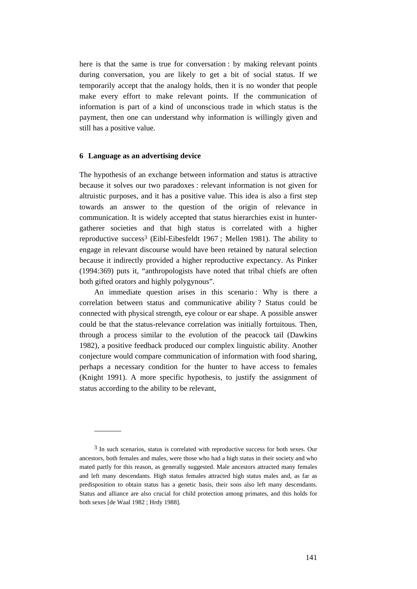here is that the same is true for conversation : by making relevant points during conversation, you are likely to get a bit of social status. If we temporarily accept that the analogy holds, then it is no wonder that people make every effort to make relevant points. If the communication of information is part of a kind of unconscious trade in which status is the payment, then one can understand why information is willingly given and still has a positive value.

### **6 Language as an advertising device**

 $\overline{\phantom{a}}$ 

The hypothesis of an exchange between information and status is attractive because it solves our two paradoxes : relevant information is not given for altruistic purposes, and it has a positive value. This idea is also a first step towards an answer to the question of the origin of relevance in communication. It is widely accepted that status hierarchies exist in huntergatherer societies and that high status is correlated with a higher reproductive success<sup>3</sup> (Eibl-Eibesfeldt 1967; Mellen 1981). The ability to engage in relevant discourse would have been retained by natural selection because it indirectly provided a higher reproductive expectancy. As Pinker (1994:369) puts it, "anthropologists have noted that tribal chiefs are often both gifted orators and highly polygynous".

An immediate question arises in this scenario : Why is there a correlation between status and communicative ability ? Status could be connected with physical strength, eye colour or ear shape. A possible answer could be that the status-relevance correlation was initially fortuitous. Then, through a process similar to the evolution of the peacock tail (Dawkins 1982), a positive feedback produced our complex linguistic ability. Another conjecture would compare communication of information with food sharing, perhaps a necessary condition for the hunter to have access to females (Knight 1991). A more specific hypothesis, to justify the assignment of status according to the ability to be relevant,

 $3 \text{ In such scenarios, status is correlated with reproductive success for both sexes. Our}$ ancestors, both females and males, were those who had a high status in their society and who mated partly for this reason, as generally suggested. Male ancestors attracted many females and left many descendants. High status females attracted high status males and, as far as predisposition to obtain status has a genetic basis, their sons also left many descendants. Status and alliance are also crucial for child protection among primates, and this holds for both sexes [de Waal 1982 ; Hrdy 1988].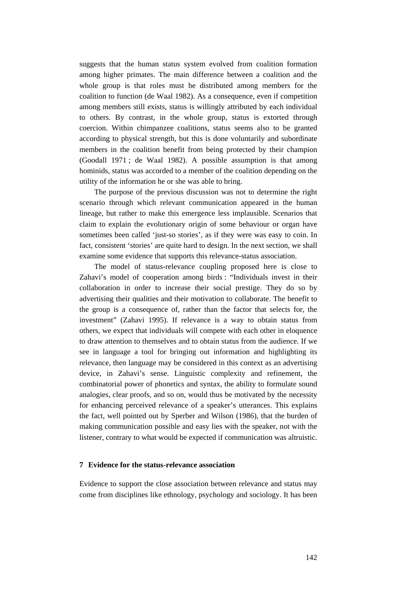suggests that the human status system evolved from coalition formation among higher primates. The main difference between a coalition and the whole group is that roles must be distributed among members for the coalition to function (de Waal 1982). As a consequence, even if competition among members still exists, status is willingly attributed by each individual to others. By contrast, in the whole group, status is extorted through coercion. Within chimpanzee coalitions, status seems also to be granted according to physical strength, but this is done voluntarily and subordinate members in the coalition benefit from being protected by their champion (Goodall 1971 ; de Waal 1982). A possible assumption is that among hominids, status was accorded to a member of the coalition depending on the utility of the information he or she was able to bring.

The purpose of the previous discussion was not to determine the right scenario through which relevant communication appeared in the human lineage, but rather to make this emergence less implausible. Scenarios that claim to explain the evolutionary origin of some behaviour or organ have sometimes been called 'just-so stories', as if they were was easy to coin. In fact, consistent 'stories' are quite hard to design. In the next section, we shall examine some evidence that supports this relevance-status association.

The model of status-relevance coupling proposed here is close to Zahavi's model of cooperation among birds : "Individuals invest in their collaboration in order to increase their social prestige. They do so by advertising their qualities and their motivation to collaborate. The benefit to the group is a consequence of, rather than the factor that selects for, the investment" (Zahavi 1995). If relevance is a way to obtain status from others, we expect that individuals will compete with each other in eloquence to draw attention to themselves and to obtain status from the audience. If we see in language a tool for bringing out information and highlighting its relevance, then language may be considered in this context as an advertising device, in Zahavi's sense. Linguistic complexity and refinement, the combinatorial power of phonetics and syntax, the ability to formulate sound analogies, clear proofs, and so on, would thus be motivated by the necessity for enhancing perceived relevance of a speaker's utterances. This explains the fact, well pointed out by Sperber and Wilson (1986), that the burden of making communication possible and easy lies with the speaker, not with the listener, contrary to what would be expected if communication was altruistic.

# **7 Evidence for the status-relevance association**

Evidence to support the close association between relevance and status may come from disciplines like ethnology, psychology and sociology. It has been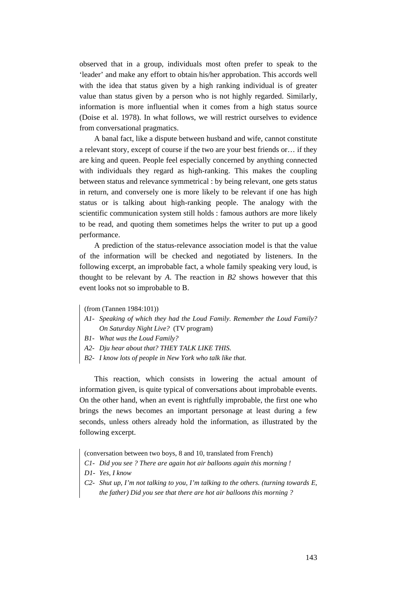observed that in a group, individuals most often prefer to speak to the 'leader' and make any effort to obtain his/her approbation. This accords well with the idea that status given by a high ranking individual is of greater value than status given by a person who is not highly regarded. Similarly, information is more influential when it comes from a high status source (Doise et al. 1978). In what follows, we will restrict ourselves to evidence from conversational pragmatics.

A banal fact, like a dispute between husband and wife, cannot constitute a relevant story, except of course if the two are your best friends or… if they are king and queen. People feel especially concerned by anything connected with individuals they regard as high-ranking. This makes the coupling between status and relevance symmetrical : by being relevant, one gets status in return, and conversely one is more likely to be relevant if one has high status or is talking about high-ranking people. The analogy with the scientific communication system still holds : famous authors are more likely to be read, and quoting them sometimes helps the writer to put up a good performance.

A prediction of the status-relevance association model is that the value of the information will be checked and negotiated by listeners. In the following excerpt, an improbable fact, a whole family speaking very loud, is thought to be relevant by *A*. The reaction in *B2* shows however that this event looks not so improbable to B.

(from (Tannen 1984:101))

- *A1- Speaking of which they had the Loud Family. Remember the Loud Family? On Saturday Night Live?* (TV program)
- *B1- What was the Loud Family?*
- *A2- Dju hear about that? THEY TALK LIKE THIS.*
- *B2- I know lots of people in New York who talk like that.*

This reaction, which consists in lowering the actual amount of information given, is quite typical of conversations about improbable events. On the other hand, when an event is rightfully improbable, the first one who brings the news becomes an important personage at least during a few seconds, unless others already hold the information, as illustrated by the following excerpt.

- (conversation between two boys, 8 and 10, translated from French)
- *C1- Did you see ? There are again hot air balloons again this morning !*
- *D1- Yes, I know*
- *C2- Shut up, I'm not talking to you, I'm talking to the others. (turning towards E, the father) Did you see that there are hot air balloons this morning ?*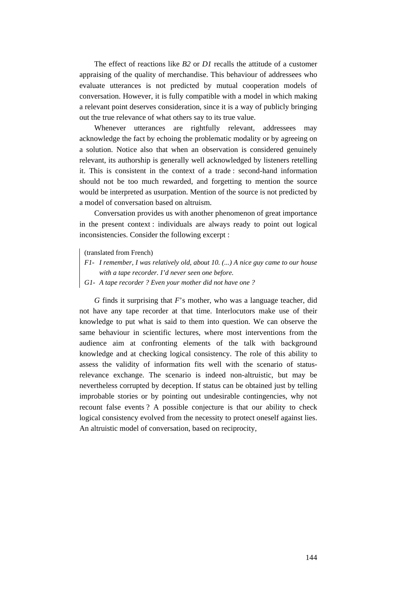The effect of reactions like *B2* or *D1* recalls the attitude of a customer appraising of the quality of merchandise. This behaviour of addressees who evaluate utterances is not predicted by mutual cooperation models of conversation. However, it is fully compatible with a model in which making a relevant point deserves consideration, since it is a way of publicly bringing out the true relevance of what others say to its true value.

Whenever utterances are rightfully relevant, addressees may acknowledge the fact by echoing the problematic modality or by agreeing on a solution. Notice also that when an observation is considered genuinely relevant, its authorship is generally well acknowledged by listeners retelling it. This is consistent in the context of a trade : second-hand information should not be too much rewarded, and forgetting to mention the source would be interpreted as usurpation. Mention of the source is not predicted by a model of conversation based on altruism.

Conversation provides us with another phenomenon of great importance in the present context : individuals are always ready to point out logical inconsistencies. Consider the following excerpt :

(translated from French)

- *F1- I remember, I was relatively old, about 10. (...) A nice guy came to our house with a tape recorder. I'd never seen one before.*
- *G1- A tape recorder ? Even your mother did not have one ?*

*G* finds it surprising that *F*'s mother, who was a language teacher, did not have any tape recorder at that time. Interlocutors make use of their knowledge to put what is said to them into question. We can observe the same behaviour in scientific lectures, where most interventions from the audience aim at confronting elements of the talk with background knowledge and at checking logical consistency. The role of this ability to assess the validity of information fits well with the scenario of statusrelevance exchange. The scenario is indeed non-altruistic, but may be nevertheless corrupted by deception. If status can be obtained just by telling improbable stories or by pointing out undesirable contingencies, why not recount false events ? A possible conjecture is that our ability to check logical consistency evolved from the necessity to protect oneself against lies. An altruistic model of conversation, based on reciprocity,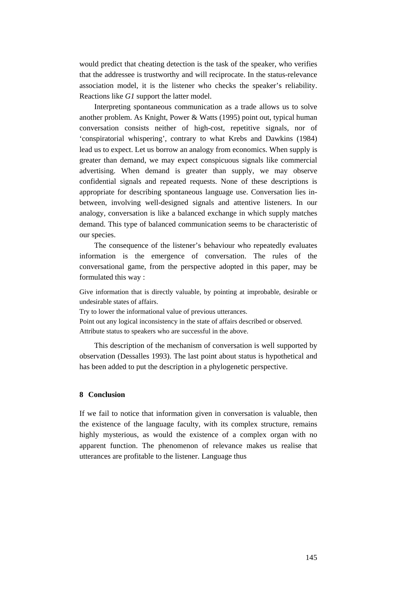would predict that cheating detection is the task of the speaker, who verifies that the addressee is trustworthy and will reciprocate. In the status-relevance association model, it is the listener who checks the speaker's reliability. Reactions like *G1* support the latter model.

Interpreting spontaneous communication as a trade allows us to solve another problem. As Knight, Power & Watts (1995) point out, typical human conversation consists neither of high-cost, repetitive signals, nor of 'conspiratorial whispering', contrary to what Krebs and Dawkins (1984) lead us to expect. Let us borrow an analogy from economics. When supply is greater than demand, we may expect conspicuous signals like commercial advertising. When demand is greater than supply, we may observe confidential signals and repeated requests. None of these descriptions is appropriate for describing spontaneous language use. Conversation lies inbetween, involving well-designed signals and attentive listeners. In our analogy, conversation is like a balanced exchange in which supply matches demand. This type of balanced communication seems to be characteristic of our species.

The consequence of the listener's behaviour who repeatedly evaluates information is the emergence of conversation. The rules of the conversational game, from the perspective adopted in this paper, may be formulated this way :

Give information that is directly valuable, by pointing at improbable, desirable or undesirable states of affairs.

Try to lower the informational value of previous utterances.

Point out any logical inconsistency in the state of affairs described or observed. Attribute status to speakers who are successful in the above.

This description of the mechanism of conversation is well supported by observation (Dessalles 1993). The last point about status is hypothetical and has been added to put the description in a phylogenetic perspective.

## **8 Conclusion**

If we fail to notice that information given in conversation is valuable, then the existence of the language faculty, with its complex structure, remains highly mysterious, as would the existence of a complex organ with no apparent function. The phenomenon of relevance makes us realise that utterances are profitable to the listener. Language thus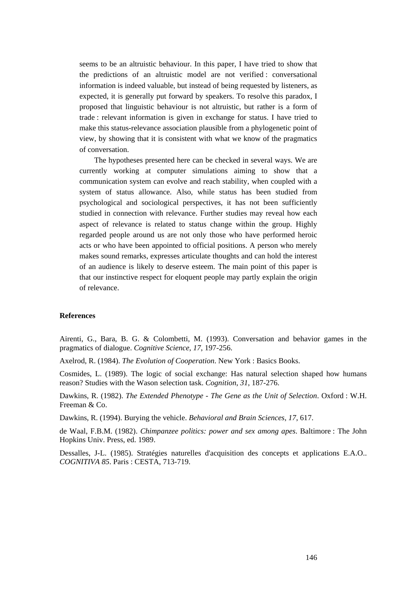seems to be an altruistic behaviour. In this paper, I have tried to show that the predictions of an altruistic model are not verified : conversational information is indeed valuable, but instead of being requested by listeners, as expected, it is generally put forward by speakers. To resolve this paradox, I proposed that linguistic behaviour is not altruistic, but rather is a form of trade : relevant information is given in exchange for status. I have tried to make this status-relevance association plausible from a phylogenetic point of view, by showing that it is consistent with what we know of the pragmatics of conversation.

The hypotheses presented here can be checked in several ways. We are currently working at computer simulations aiming to show that a communication system can evolve and reach stability, when coupled with a system of status allowance. Also, while status has been studied from psychological and sociological perspectives, it has not been sufficiently studied in connection with relevance. Further studies may reveal how each aspect of relevance is related to status change within the group. Highly regarded people around us are not only those who have performed heroic acts or who have been appointed to official positions. A person who merely makes sound remarks, expresses articulate thoughts and can hold the interest of an audience is likely to deserve esteem. The main point of this paper is that our instinctive respect for eloquent people may partly explain the origin of relevance.

## **References**

Airenti, G., Bara, B. G. & Colombetti, M. (1993). Conversation and behavior games in the pragmatics of dialogue. *Cognitive Science*, *17*, 197-256.

Axelrod, R. (1984). *The Evolution of Cooperation*. New York : Basics Books.

Cosmides, L. (1989). The logic of social exchange: Has natural selection shaped how humans reason? Studies with the Wason selection task. *Cognition*, *31*, 187-276.

Dawkins, R. (1982). *The Extended Phenotype - The Gene as the Unit of Selection*. Oxford : W.H. Freeman & Co.

Dawkins, R. (1994). Burying the vehicle. *Behavioral and Brain Sciences*, *17*, 617.

de Waal, F.B.M. (1982). *Chimpanzee politics: power and sex among apes*. Baltimore : The John Hopkins Univ. Press, ed. 1989.

Dessalles, J-L. (1985). Stratégies naturelles d'acquisition des concepts et applications E.A.O.. *COGNITIVA 85*. Paris : CESTA, 713-719.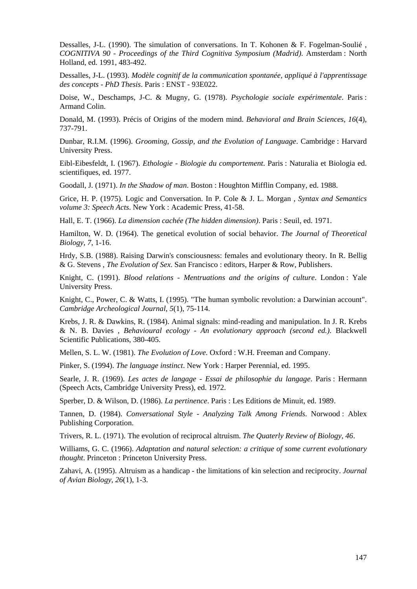Dessalles, J-L. (1990). The simulation of conversations. In T. Kohonen & F. Fogelman-Soulié , *COGNITIVA 90 - Proceedings of the Third Cognitiva Symposium (Madrid)*. Amsterdam : North Holland, ed. 1991, 483-492.

Dessalles, J-L. (1993). *Modèle cognitif de la communication spontanée, appliqué à l'apprentissage des concepts - PhD Thesis*. Paris : ENST - 93E022.

Doise, W., Deschamps, J-C. & Mugny, G. (1978). *Psychologie sociale expérimentale*. Paris : Armand Colin.

Donald, M. (1993). Précis of Origins of the modern mind. *Behavioral and Brain Sciences*, *16*(4), 737-791.

Dunbar, R.I.M. (1996). *Grooming, Gossip, and the Evolution of Language*. Cambridge : Harvard University Press.

Eibl-Eibesfeldt, I. (1967). *Ethologie - Biologie du comportement*. Paris : Naturalia et Biologia ed. scientifiques, ed. 1977.

Goodall, J. (1971). *In the Shadow of man*. Boston : Houghton Mifflin Company, ed. 1988.

Grice, H. P. (1975). Logic and Conversation. In P. Cole & J. L. Morgan , *Syntax and Semantics volume 3: Speech Acts*. New York : Academic Press, 41-58.

Hall, E. T. (1966). *La dimension cachée (The hidden dimension)*. Paris : Seuil, ed. 1971.

Hamilton, W. D. (1964). The genetical evolution of social behavior. *The Journal of Theoretical Biology*, *7*, 1-16.

Hrdy, S.B. (1988). Raising Darwin's consciousness: females and evolutionary theory. In R. Bellig & G. Stevens , *The Evolution of Sex*. San Francisco : editors, Harper & Row, Publishers.

Knight, C. (1991). *Blood relations - Mentruations and the origins of culture*. London : Yale University Press.

Knight, C., Power, C. & Watts, I. (1995). "The human symbolic revolution: a Darwinian account". *Cambridge Archeological Journal*, *5*(1), 75-114.

Krebs, J. R. & Dawkins, R. (1984). Animal signals: mind-reading and manipulation. In J. R. Krebs & N. B. Davies , *Behavioural ecology - An evolutionary approach (second ed.)*. Blackwell Scientific Publications, 380-405.

Mellen, S. L. W. (1981). *The Evolution of Love*. Oxford : W.H. Freeman and Company.

Pinker, S. (1994). *The language instinct*. New York : Harper Perennial, ed. 1995.

Searle, J. R. (1969). *Les actes de langage - Essai de philosophie du langage*. Paris : Hermann (Speech Acts, Cambridge University Press), ed. 1972.

Sperber, D. & Wilson, D. (1986). *La pertinence*. Paris : Les Editions de Minuit, ed. 1989.

Tannen, D. (1984). *Conversational Style - Analyzing Talk Among Friends*. Norwood : Ablex Publishing Corporation.

Trivers, R. L. (1971). The evolution of reciprocal altruism. *The Quaterly Review of Biology*, *46*.

Williams, G. C. (1966). *Adaptation and natural selection: a critique of some current evolutionary thought*. Princeton : Princeton University Press.

Zahavi, A. (1995). Altruism as a handicap - the limitations of kin selection and reciprocity. *Journal of Avian Biology*, *26*(1), 1-3.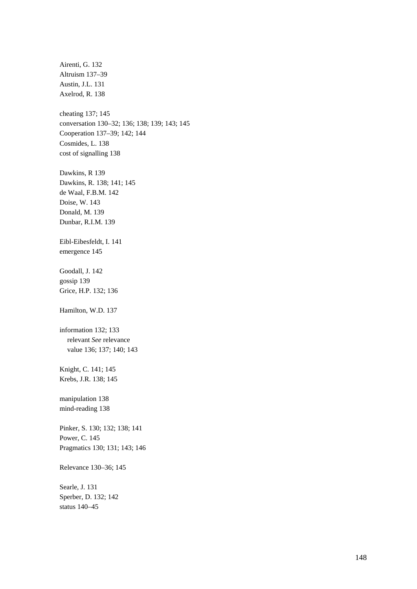Airenti, G. 132 Altruism 137–39 Austin, J.L. 131 Axelrod, R. 138 cheating 137; 145 conversation 130–32; 136; 138; 139; 143; 145 Cooperation 137–39; 142; 144 Cosmides, L. 138 cost of signalling 138 Dawkins, R 139 Dawkins, R. 138; 141; 145 de Waal, F.B.M. 142 Doise, W. 143 Donald, M. 139 Dunbar, R.I.M. 139 Eibl-Eibesfeldt, I. 141 emergence 145 Goodall, J. 142 gossip 139 Grice, H.P. 132; 136 Hamilton, W.D. 137 information 132; 133 relevant *See* relevance value 136; 137; 140; 143 Knight, C. 141; 145 Krebs, J.R. 138; 145 manipulation 138 mind-reading 138 Pinker, S. 130; 132; 138; 141 Power, C. 145 Pragmatics 130; 131; 143; 146 Relevance 130–36; 145 Searle, J. 131 Sperber, D. 132; 142 status 140–45